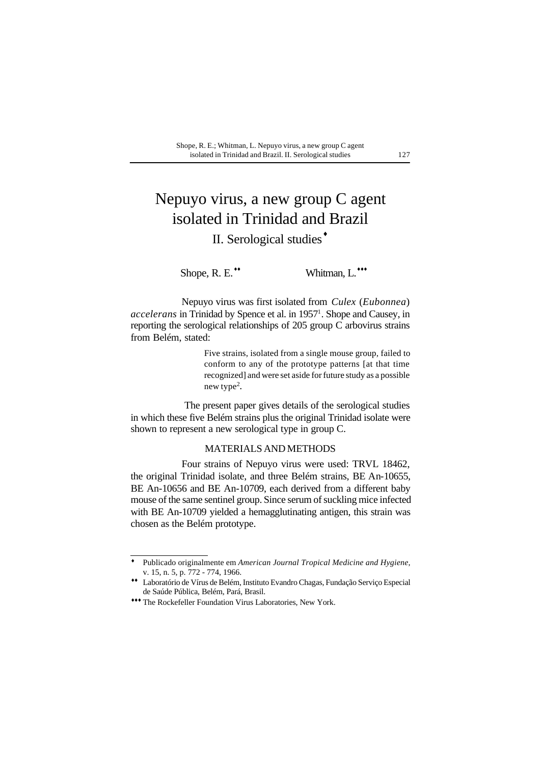#### Shope, R. E.; Whitman, L. Nepuyo virus, a new group C agent isolated in Trinidad and Brazil. II. Serological studies 127

# Nepuyo virus, a new group C agent isolated in Trinidad and Brazil

## II. Serological studies<sup>+</sup>

Shope, R. E.<sup>\*\*</sup> Whitman, L.\*\*\*

Nepuyo virus was first isolated from *Culex* (*Eubonnea*) accelerans in Trinidad by Spence et al. in 1957<sup>1</sup>. Shope and Causey, in reporting the serological relationships of 205 group C arbovirus strains from Belém, stated:

> Five strains, isolated from a single mouse group, failed to conform to any of the prototype patterns [at that time recognized] and were set aside for future study as a possible new type<sup>2</sup>.

 The present paper gives details of the serological studies in which these five Belém strains plus the original Trinidad isolate were shown to represent a new serological type in group C.

### MATERIALS AND METHODS

Four strains of Nepuyo virus were used: TRVL 18462, the original Trinidad isolate, and three Belém strains, BE An-10655, BE An-10656 and BE An-10709, each derived from a different baby mouse of the same sentinel group. Since serum of suckling mice infected with BE An-10709 yielded a hemagglutinating antigen, this strain was chosen as the Belém prototype.

Publicado originalmente em *American Journal Tropical Medicine and Hygiene*, v. 15, n. 5, p. 772 - 774, 1966. ♦

Laboratório de Vírus de Belém, Instituto Evandro Chagas, Fundação Serviço Especial ♦♦ de Saúde Pública, Belém, Pará, Brasil.

<sup>\*\*\*</sup> The Rockefeller Foundation Virus Laboratories, New York.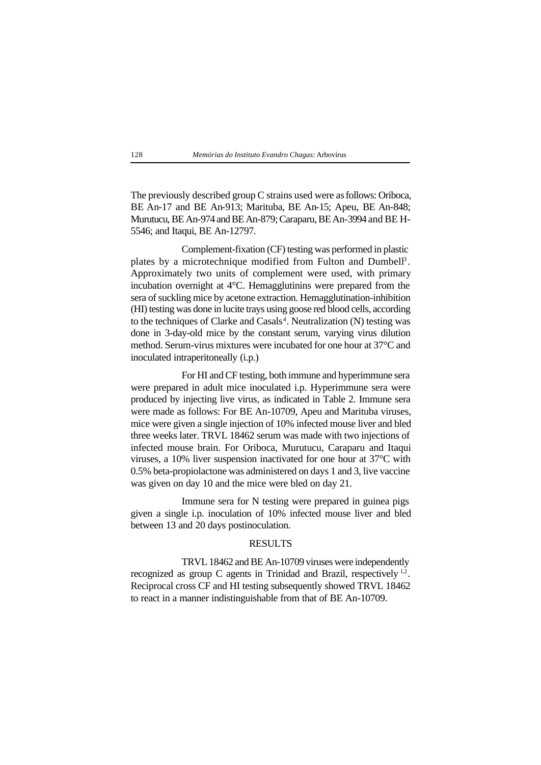#### 128 *Memórias do Instituto Evandro Chagas:* Arbovírus

The previously described group C strains used were as follows: Oriboca, BE An-17 and BE An-913; Marituba, BE An-15; Apeu, BE An-848; Murutucu, BE An-974 and BE An-879; Caraparu, BE An-3994 and BE H-5546; and Itaqui, BE An-12797.

Complement-fixation (CF) testing was performed in plastic plates by a microtechnique modified from Fulton and Dumbell<sup>3</sup>. Approximately two units of complement were used, with primary incubation overnight at 4°C. Hemagglutinins were prepared from the sera of suckling mice by acetone extraction. Hemagglutination-inhibition (HI) testing was done in lucite trays using goose red blood cells, according to the techniques of Clarke and Casals<sup>4</sup>. Neutralization (N) testing was done in 3-day-old mice by the constant serum, varying virus dilution method. Serum-virus mixtures were incubated for one hour at 37°C and inoculated intraperitoneally (i.p.)

For HI and CF testing, both immune and hyperimmune sera were prepared in adult mice inoculated i.p. Hyperimmune sera were produced by injecting live virus, as indicated in Table 2. Immune sera were made as follows: For BE An-10709, Apeu and Marituba viruses, mice were given a single injection of 10% infected mouse liver and bled three weeks later. TRVL 18462 serum was made with two injections of infected mouse brain. For Oriboca, Murutucu, Caraparu and Itaqui viruses, a 10% liver suspension inactivated for one hour at 37°C with 0.5% beta-propiolactone was administered on days 1 and 3, live vaccine was given on day 10 and the mice were bled on day 21.

Immune sera for N testing were prepared in guinea pigs given a single i.p. inoculation of 10% infected mouse liver and bled between 13 and 20 days postinoculation.

#### RESULTS

TRVL 18462 and BE An-10709 viruses were independently recognized as group C agents in Trinidad and Brazil, respectively  $1,2$ . Reciprocal cross CF and HI testing subsequently showed TRVL 18462 to react in a manner indistinguishable from that of BE An-10709.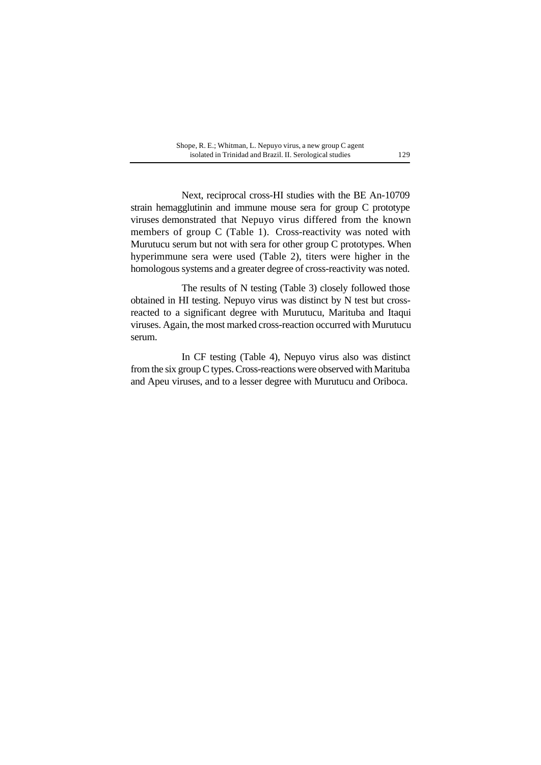| Shope, R. E.; Whitman, L. Nepuyo virus, a new group C agent |     |
|-------------------------------------------------------------|-----|
| isolated in Trinidad and Brazil. II. Serological studies    | 129 |

Next, reciprocal cross-HI studies with the BE An-10709 strain hemagglutinin and immune mouse sera for group C prototype viruses demonstrated that Nepuyo virus differed from the known members of group C (Table 1). Cross-reactivity was noted with Murutucu serum but not with sera for other group C prototypes. When hyperimmune sera were used (Table 2), titers were higher in the homologous systems and a greater degree of cross-reactivity was noted.

The results of N testing (Table 3) closely followed those obtained in HI testing. Nepuyo virus was distinct by N test but crossreacted to a significant degree with Murutucu, Marituba and Itaqui viruses. Again, the most marked cross-reaction occurred with Murutucu serum.

In CF testing (Table 4), Nepuyo virus also was distinct from the six group C types. Cross-reactions were observed with Marituba and Apeu viruses, and to a lesser degree with Murutucu and Oriboca.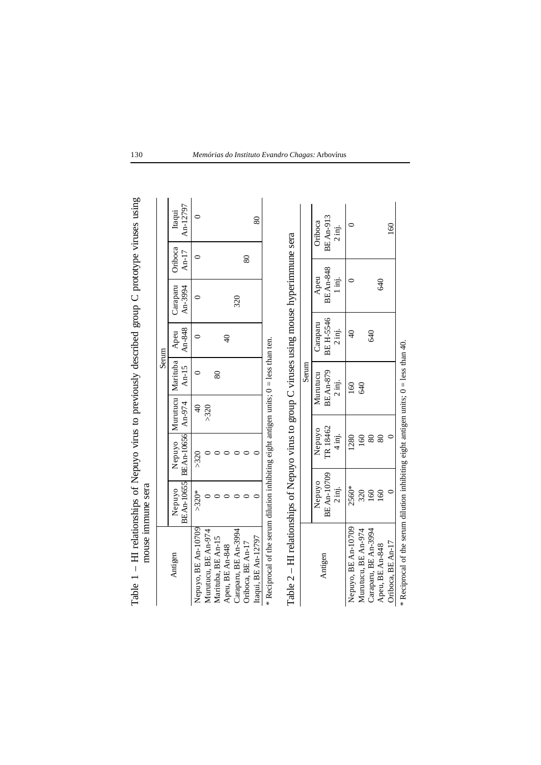| Table 1 – HI relationships of Nepuyo virus to previously described group C prototype viruses using | mouse immune sera |                              |               |                 |               |                 |         |                    |
|----------------------------------------------------------------------------------------------------|-------------------|------------------------------|---------------|-----------------|---------------|-----------------|---------|--------------------|
|                                                                                                    |                   |                              |               |                 | Serum         |                 |         |                    |
|                                                                                                    |                   |                              |               |                 |               |                 |         |                    |
| Antigen                                                                                            | Nepuyo            | Nepuyo   Murutucu   Marituba |               |                 | Apeu          | Caraparu        | Oriboca | Itaqui             |
|                                                                                                    |                   | BEAn-10655 BEAn-10656 An-974 |               | An-15           | An-848        | An-3994         | An-17   | An-12797           |
| Nepuyo, BE An-10709                                                                                | $>320*$           | >320                         | $\frac{1}{2}$ |                 |               |                 |         |                    |
| Murutucu, BE An-974                                                                                |                   |                              | >320          |                 |               |                 |         |                    |
| Marituba, BE An-15                                                                                 |                   |                              |               | 80              |               |                 |         |                    |
| Apeu, BE An-848                                                                                    |                   |                              |               |                 | $\frac{1}{2}$ |                 |         |                    |
| Caraparu, BE An-3994                                                                               |                   |                              |               |                 |               | 320             |         |                    |
| Oriboca, BE An-17                                                                                  |                   |                              |               |                 |               |                 | 80      |                    |
| Itaqui, BE An-12797                                                                                |                   |                              |               |                 |               |                 |         | 80                 |
| * Reciprocal of the serum dilution inhibiting eight antigen units; $0 =$ less than ten.            |                   |                              |               |                 |               |                 |         |                    |
|                                                                                                    |                   |                              |               |                 |               |                 |         |                    |
| Table $2 - H1$ relationships of Nepuyo virus to group C viruses using mouse hyperimmune sera       |                   |                              |               |                 |               |                 |         |                    |
|                                                                                                    |                   |                              |               | Serum           |               |                 |         |                    |
|                                                                                                    | Nepuyo            | Nepuyo                       |               | Murutucu        | Caraparu      | Apeu            |         | Oriboca            |
| Antigen                                                                                            | BE An-10709       | TR 18462                     |               | <b>BEAn-879</b> | BE H-5546     | <b>BEAn-848</b> |         | BE An-913          |
|                                                                                                    | 2 inj.            | $\frac{1}{4}$                |               | 2 inj.          | 2 inj.        | ig.<br>I        |         | $2 \overline{m}$ . |

 $\begin{array}{|c|c|c|c|c|}\hline \multicolumn{1}{|c|}{\textbf{O}} & \multicolumn{1}{|c|}{\textbf{O}} & \multicolumn{1}{c|}{\textbf{O}} & \multicolumn{1}{c|}{\textbf{O}} & \multicolumn{1}{c|}{\textbf{O}} & \multicolumn{1}{c|}{\textbf{O}} & \multicolumn{1}{c|}{\textbf{O}} & \multicolumn{1}{c|}{\textbf{O}} & \multicolumn{1}{c|}{\textbf{O}} & \multicolumn{1}{c|}{\textbf{O}} & \multicolumn{1}{c|}{\textbf{O}} & \multicolumn{1}{c|}{\text$ 

 $\frac{1280}{2}$ 

| 16<br>| 8

 $\circ$ 

 $\circ$ 

∣੩

Murutucu, BE An-974 | 160 | 160 | 160 | 160 | 160 | 160 | 160 | 160 | 160 | 160 | 160 | 160 | 160 | 160 | 160 | 160 | 160 | 160 | 160 | 160 | 160 | 160 | 160 | 160 | 160 | 160 | 160 | 160 | 160 | 160 | 160 | 160 | 160 | 16

 $\frac{1560*}{320}$ <br>160<br>160

Nepuyo, BE An-10709

Caraparu, BE An-3994 160 80 640

 $\begin{array}{c} 68 \\ 88 \end{array}$ 

 $\frac{1}{40}$  and  $\frac{1}{40}$  and  $\frac{1}{40}$  and  $\frac{1}{40}$  and  $\frac{1}{40}$  and  $\frac{1}{40}$  and  $\frac{1}{40}$  and  $\frac{1}{40}$  and  $\frac{1}{40}$  and  $\frac{1}{40}$  and  $\frac{1}{40}$  and  $\frac{1}{40}$  and  $\frac{1}{40}$  and  $\frac{1}{40}$  and  $\frac{1}{40}$ 

Oriboca, BE An-17  $\begin{array}{|c|c|c|c|c|c|c|c|} \hline \text{Oriboca, BE A} & \text{or} & 0 & 0 & 0 & 0 & 160 \ \hline \end{array}$ 

 $\circ$ 

 $\circ$ 

 $Oriboca$ , BE An-17

160

640

640

\* Reciprocal of the serum dilution inhibiting eight antigen units; 0 = less than 40.

\* Reciprocal of the serum dilution inhibiting eight antigen units;  $0 =$  less than 40.

130 *Memórias do Instituto Evandro Chagas:* Arbovírus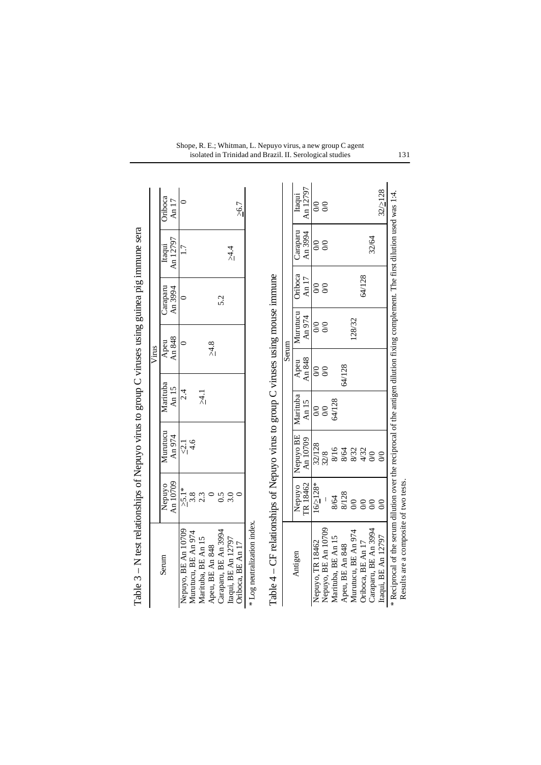| Table $3 - N$ test relationships of Nepuyo virus to group C viruses using guinea pig immune sera                                   |                    |                    |                   |          |                |                     |                    |                  |
|------------------------------------------------------------------------------------------------------------------------------------|--------------------|--------------------|-------------------|----------|----------------|---------------------|--------------------|------------------|
|                                                                                                                                    |                    |                    |                   | Virus    |                |                     |                    |                  |
| Serum                                                                                                                              | An 10709<br>Nepuyo | Murutucu<br>An 974 | Marituba<br>An 15 |          | An 848<br>Apeu | Caraparu<br>An 3994 | An 12797<br>Itaqui | Oriboca<br>An 17 |
| Nepuyo, BE An 10709<br>Murutucu, BE An 974                                                                                         | $\frac{5.1}{3.8}$  | $\frac{1}{2}$ 4.6  | 2.4               |          | $\circ$        | $\circ$             | 1.7                |                  |
| Marituba, BE An 15                                                                                                                 | 2.3                |                    | $\vec{r}$         |          |                |                     |                    |                  |
| Caraparu, BE An 3994<br>Apeu, BE An 848                                                                                            | $\circ$<br>0.5     |                    |                   |          | $\geq 4.8$     | 5.2                 |                    |                  |
| Itaqui, BE An 12797<br>Oriboca, BE An 17                                                                                           | 3.0                |                    |                   |          |                |                     | $\frac{4}{4}$      | $\geq 6.7$       |
| * Log neutralization index.                                                                                                        |                    |                    |                   |          |                |                     |                    |                  |
| Table $4 - CF$ relationships of Nepuyo virus to group C viruses using mouse immune                                                 |                    |                    |                   |          |                |                     |                    |                  |
|                                                                                                                                    |                    |                    |                   | Serum    |                |                     |                    |                  |
| Antigen                                                                                                                            | Nepuyo             | Nepuyo BE          | Marituba          | Apeu     | Murutucu       | Oriboca             | Caraparu           | Itaqui           |
|                                                                                                                                    | TR 18462           | An 10709           | An 15             | An 848   | An 974         | An $17$             | An 3994            | An 12797         |
| Nepuyo, TR 18462                                                                                                                   | $16/$ $28*$        | 32/128             | $\infty$          | $\infty$ | $\infty$       | $\infty$            | $\infty$           | $\infty$         |
| Nepuyo, BE An 10709                                                                                                                |                    | 32/8               | $\infty$          | $\infty$ | $\infty$       | $\infty$            | $\infty$           | $\infty$         |
| Marituba, BE An 15                                                                                                                 | 8/64               | 8/16               | 64/128            |          |                |                     |                    |                  |
| Apeu, BE An 848                                                                                                                    | 8/128              | 8/64               |                   | 64/128   |                |                     |                    |                  |
| Murutucu, BE An 974                                                                                                                | $\infty$           | 8/32               |                   |          | 128/32         |                     |                    |                  |
| Oriboca, BE An 17                                                                                                                  | $\infty$           | $\frac{4}{32}$     |                   |          |                | 64/128              |                    |                  |
| Caraparu, BE An 3994                                                                                                               | $\infty$           |                    |                   |          |                |                     | 32/64              |                  |
| Itaqui, BE An 12797                                                                                                                | $\infty$           | $\infty$           |                   |          |                |                     |                    | $32/$ > $128$    |
| * Reciprocal of the serum dilution over the reciprocal of the antigen dilution fixing complement. The first dilution used was 1:4. |                    |                    |                   |          |                |                     |                    |                  |
| Results are a composite of two tests.                                                                                              |                    |                    |                   |          |                |                     |                    |                  |

#### Shope, R. E.; Whitman, L. Nepuyo virus, a new group C agent isolated in Trinidad and Brazil. II. Serological studies 131